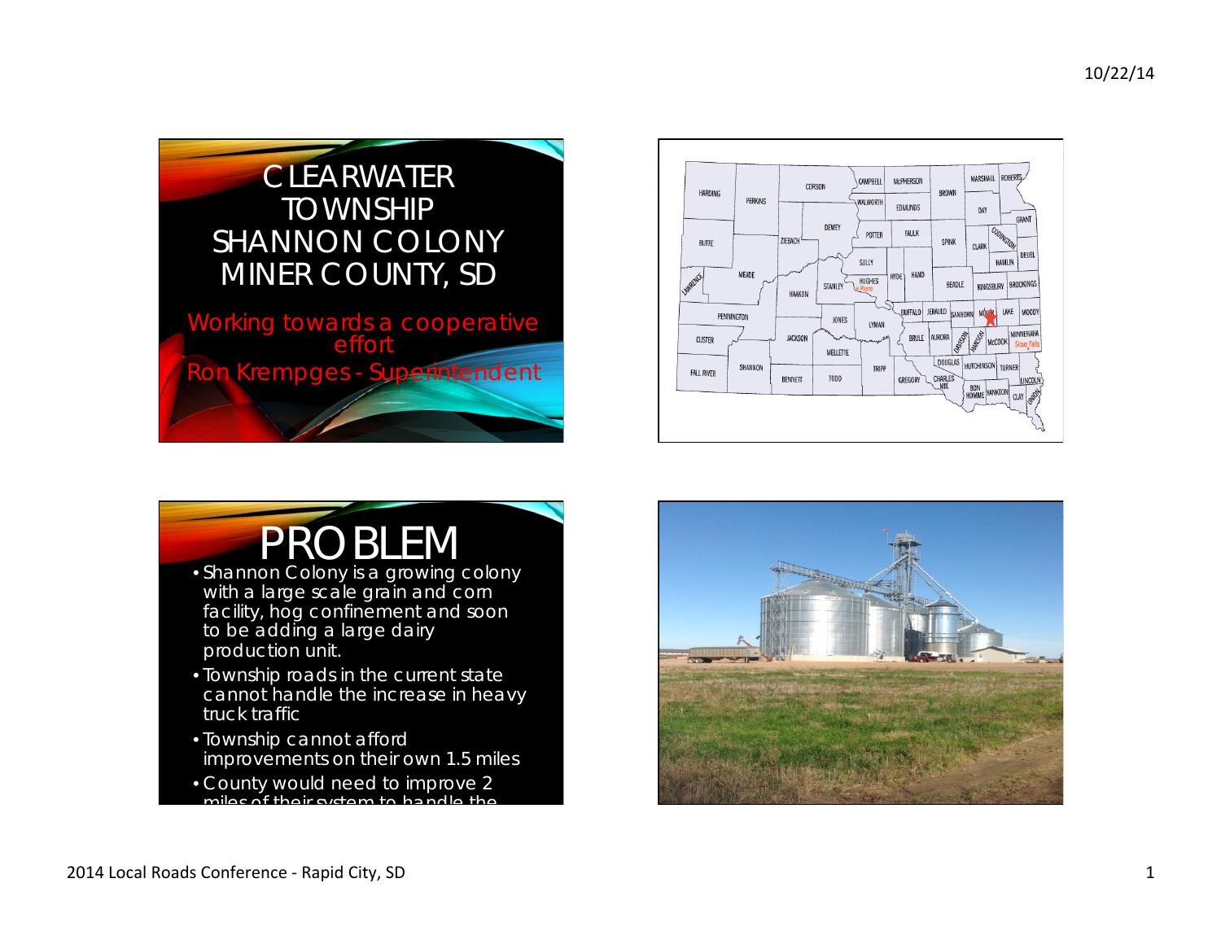





- Shannon Colony is a growing colony with a large scale grain and corn facility, hog confinement and soon to be adding a large dairy production unit.
- Township roads in the current state cannot handle the increase in heavy truck traffic
- Township cannot afford improvements on their own 1.5 miles
- County would need to improve 2 miles of their system to handle the

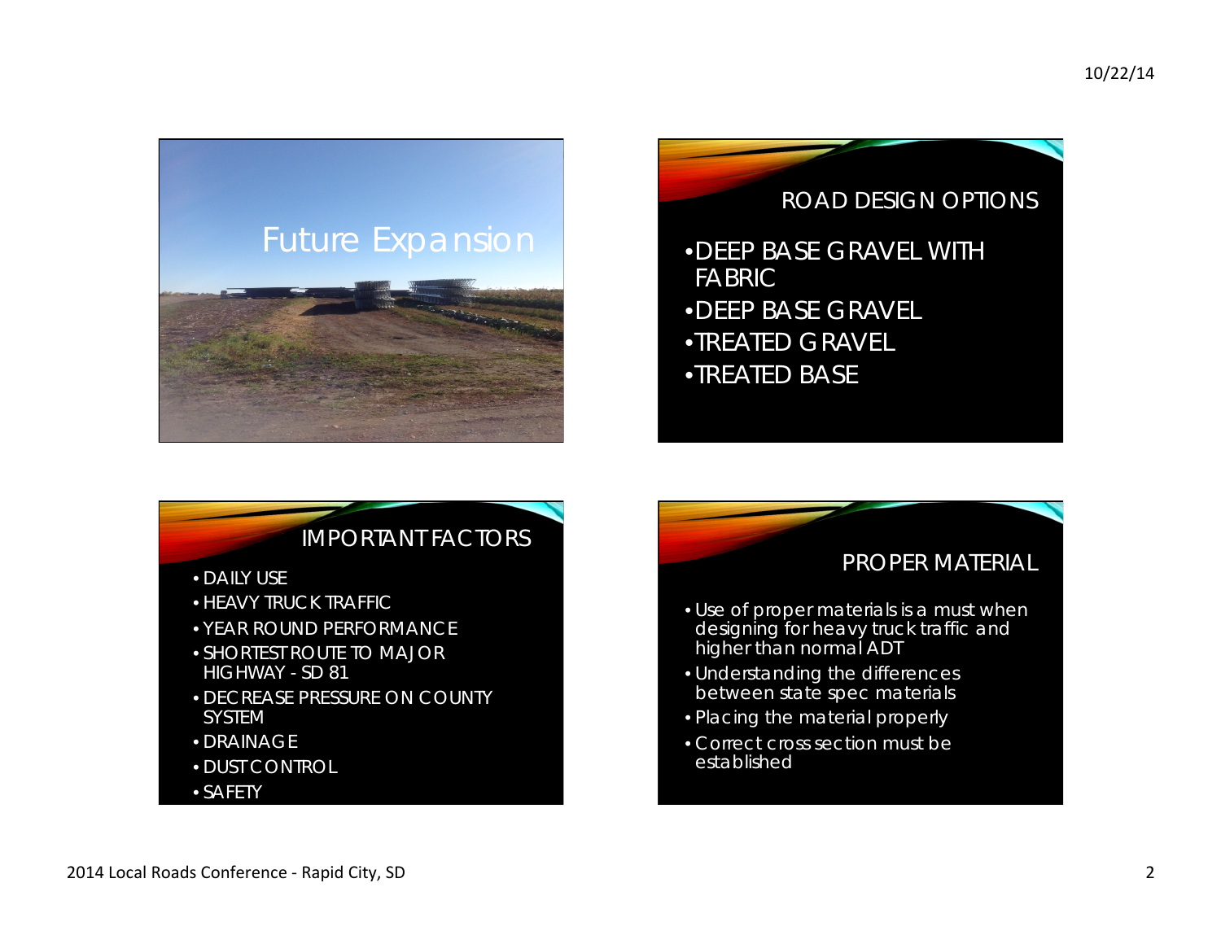

## ROAD DESIGN OPTIONS

•DEEP BASE GRAVEL WITH FABRIC •DEEP BASE GRAVEL •TREATED GRAVEL •TREATED BASE

## IMPORTANT FACTORS

- DAILY USE
- HEAVY TRUCK TRAFFIC
- YEAR ROUND PERFORMANCE
- SHORTEST ROUTE TO MAJOR HIGHWAY - SD 81
- DECREASE PRESSURE ON COUNTY SYSTEM
- DRAINAGE
- DUST CONTROL
- SAFETY

## PROPER MATERIAL

- Use of proper materials is a must when designing for heavy truck traffic and higher than normal ADT
- Understanding the differences between state spec materials
- Placing the material properly
- Correct cross section must be established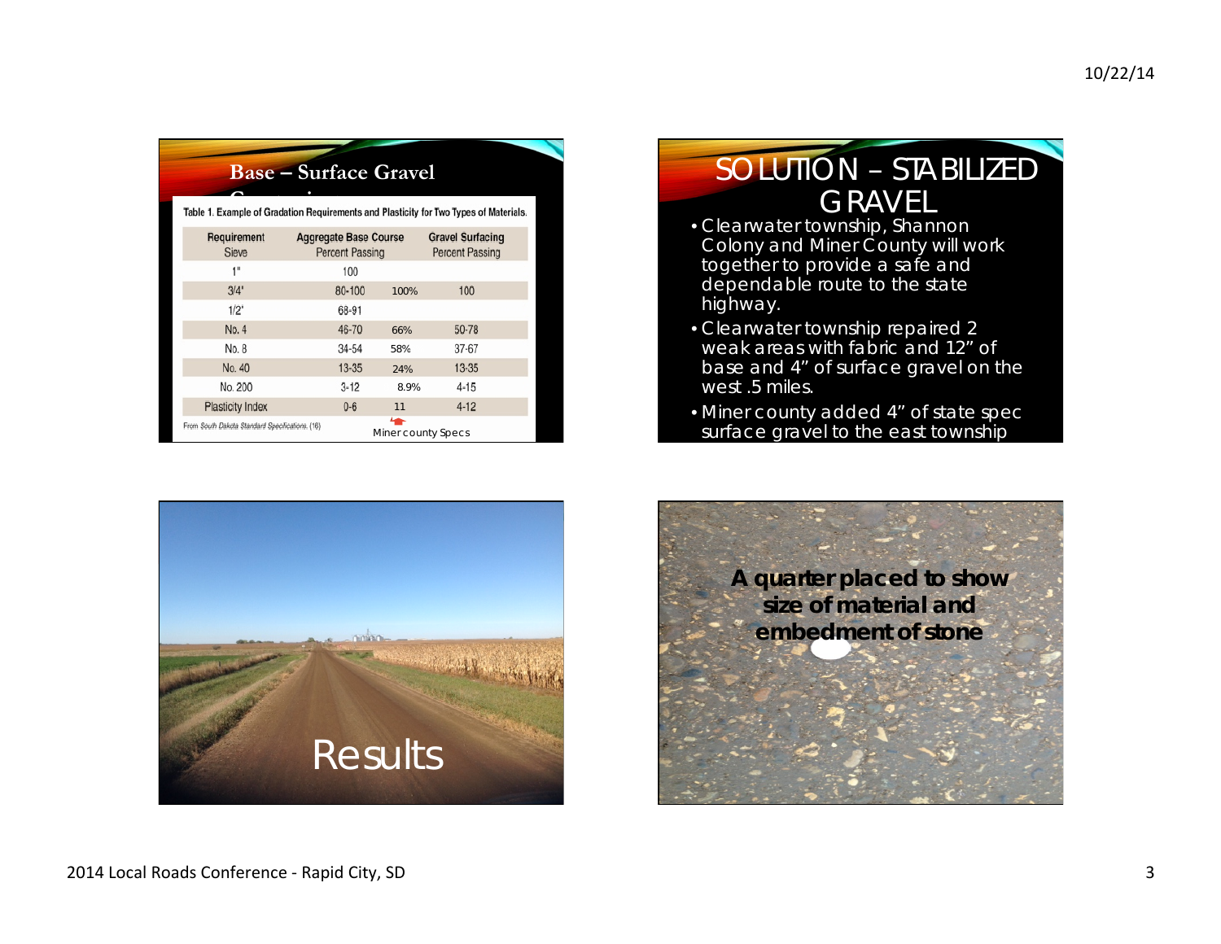|                                                                                       | <b>Base – Surface Gravel</b>                           |                                    |                                                   |  |
|---------------------------------------------------------------------------------------|--------------------------------------------------------|------------------------------------|---------------------------------------------------|--|
| Table 1. Example of Gradation Requirements and Plasticity for Two Types of Materials. |                                                        |                                    |                                                   |  |
| Requirement<br>Sieve                                                                  | <b>Aggregate Base Course</b><br><b>Percent Passing</b> |                                    | <b>Gravel Surfacing</b><br><b>Percent Passing</b> |  |
| 1"                                                                                    | 100                                                    |                                    |                                                   |  |
| 3/4"                                                                                  | 80-100                                                 | 100%                               | 100                                               |  |
| 1/2"                                                                                  | 68-91                                                  |                                    |                                                   |  |
| No. 4                                                                                 | 46-70                                                  | 66%                                | 50-78                                             |  |
| No. 8                                                                                 | 34-54                                                  | 58%                                | 37-67                                             |  |
| No. 40                                                                                | $13 - 35$                                              | 24%                                | $13 - 35$                                         |  |
| No. 200                                                                               | $3 - 12$                                               | 8.9%                               | $4 - 15$                                          |  |
| <b>Plasticity Index</b>                                                               | $0 - 6$                                                | 11                                 | $4 - 12$                                          |  |
| From South Dakota Standard Specifications. (16)                                       |                                                        | $\leftarrow$<br>Miner county Specs |                                                   |  |



## SOLUTION – STABILIZED GRAVEL<br>• Clearwater township, Shannon

- Colony and Miner County will work together to provide a safe and dependable route to the state highway.
- Clearwater township repaired 2 weak areas with fabric and 12" of base and 4" of surface gravel on the west .5 miles.
- Miner county added 4" of state spec surface gravel to the east township